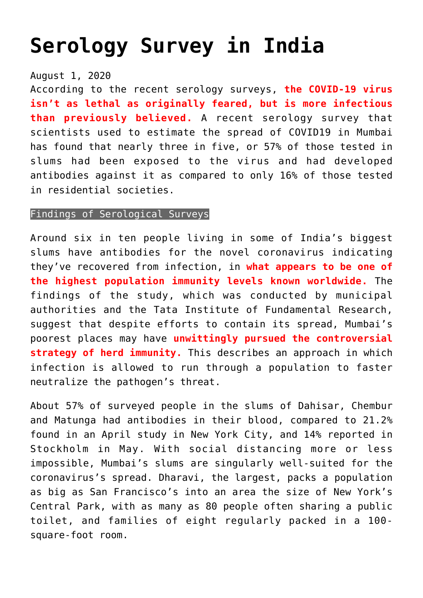## **[Serology Survey in India](https://journalsofindia.com/serology-survey-in-india/)**

## August 1, 2020

According to the recent serology surveys, **the COVID-19 virus isn't as lethal as originally feared, but is more infectious than previously believed.** A recent serology survey that scientists used to estimate the spread of COVID19 in Mumbai has found that nearly three in five, or 57% of those tested in slums had been exposed to the virus and had developed antibodies against it as compared to only 16% of those tested in residential societies.

## Findings of Serological Surveys

Around six in ten people living in some of India's biggest slums have antibodies for the novel coronavirus indicating they've recovered from infection, in **what appears to be one of the highest population immunity levels known worldwide.** The findings of the study, which was conducted by municipal authorities and the Tata Institute of Fundamental Research, suggest that despite efforts to contain its spread, Mumbai's poorest places may have **unwittingly pursued the controversial strategy of herd immunity.** This describes an approach in which infection is allowed to run through a population to faster neutralize the pathogen's threat.

About 57% of surveyed people in the slums of Dahisar, Chembur and Matunga had antibodies in their blood, compared to 21.2% found in an April study in New York City, and 14% reported in Stockholm in May. With social distancing more or less impossible, Mumbai's slums are singularly well-suited for the coronavirus's spread. Dharavi, the largest, packs a population as big as San Francisco's into an area the size of New York's Central Park, with as many as 80 people often sharing a public toilet, and families of eight regularly packed in a 100 square-foot room.